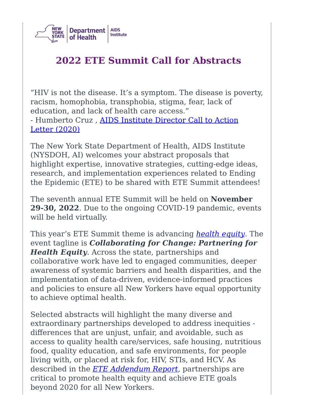

# **2022 ETE Summit Call for Abstracts**

"HIV is not the disease. It's a symptom. The disease is poverty, racism, homophobia, transphobia, stigma, fear, lack of education, and lack of health care access." - [Humberto](https://www.health.ny.gov/diseases/aids/ending_the_epidemic/docs/call_to_action_2020.pdf) Cruz, AIDS Institute Director Call to Action Letter (2020)

The New York State Department of Health, AIDS Institute (NYSDOH, AI) welcomes your abstract proposals that highlight expertise, innovative strategies, cutting-edge ideas, research, and implementation experiences related to Ending the Epidemic (ETE) to be shared with ETE Summit attendees!

The seventh annual ETE Summit will be held on **November 29-30, 2022**. Due to the ongoing COVID-19 pandemic, events will be held virtually.

This year's ETE Summit theme is advancing *[health](https://www.health.ny.gov/diseases/aids/ending_the_epidemic/docs/health_equity.pdf) equity*. The event tagline is *Collaborating for Change: Partnering for Health Equity*. Across the state, partnerships and collaborative work have led to engaged communities, deeper awareness of systemic barriers and health disparities, and the implementation of data-driven, evidence-informed practices and policies to ensure all New Yorkers have equal opportunity to achieve optimal health.

Selected abstracts will highlight the many diverse and extraordinary partnerships developed to address inequities differences that are unjust, unfair, and avoidable, such as access to quality health care/services, safe housing, nutritious food, quality education, and safe environments, for people living with, or placed at risk for, HIV, STIs, and HCV. As described in the *ETE [Addendum](https://www.health.ny.gov/diseases/aids/ending_the_epidemic/docs/ete_beyond_2020_report.pdf) Report*, partnerships are critical to promote health equity and achieve ETE goals beyond 2020 for all New Yorkers.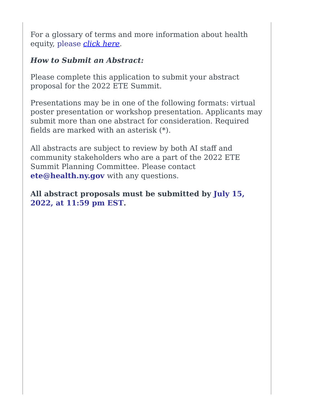For a glossary of terms and more information about health equity, please *[click](https://www.health.ny.gov/diseases/aids/ending_the_epidemic/docs/health_equity.pdf) here*.

#### *How to Submit an Abstract:*

Please complete this application to submit your abstract proposal for the 2022 ETE Summit.

Presentations may be in one of the following formats: virtual poster presentation or workshop presentation. Applicants may submit more than one abstract for consideration. Required fields are marked with an asterisk (\*).

All abstracts are subject to review by both AI staff and community stakeholders who are a part of the 2022 ETE Summit Planning Committee. Please contact **ete@health.ny.gov** with any questions.

**All abstract proposals must be submitted by July 15, 2022, at 11:59 pm EST.**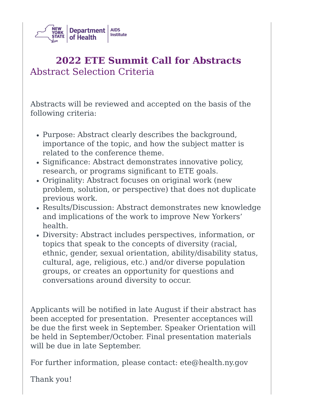

# **2022 ETE Summit Call for Abstracts** Abstract Selection Criteria

Abstracts will be reviewed and accepted on the basis of the following criteria:

- Purpose: Abstract clearly describes the background, importance of the topic, and how the subject matter is related to the conference theme.
- Significance: Abstract demonstrates innovative policy, research, or programs significant to ETE goals.
- Originality: Abstract focuses on original work (new problem, solution, or perspective) that does not duplicate previous work.
- Results/Discussion: Abstract demonstrates new knowledge and implications of the work to improve New Yorkers' health.
- Diversity: Abstract includes perspectives, information, or topics that speak to the concepts of diversity (racial, ethnic, gender, sexual orientation, ability/disability status, cultural, age, religious, etc.) and/or diverse population groups, or creates an opportunity for questions and conversations around diversity to occur.

Applicants will be notified in late August if their abstract has been accepted for presentation. Presenter acceptances will be due the first week in September. Speaker Orientation will be held in September/October. Final presentation materials will be due in late September.

For further information, please contact: ete@health.ny.gov

Thank you!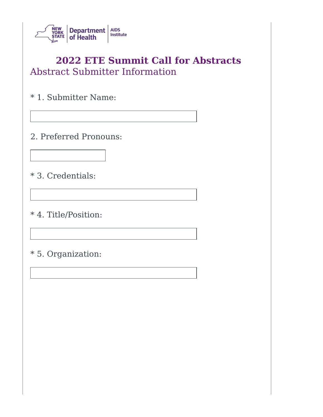

### **2022 ETE Summit Call for Abstracts** Abstract Submitter Information

\* 1. Submitter Name:

2. Preferred Pronouns:

\* 3. Credentials:

\* 4. Title/Position:

\* 5. Organization: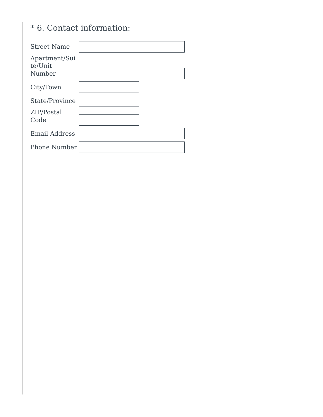### \* 6. Contact information:

| <b>Street Name</b>                 |  |
|------------------------------------|--|
| Apartment/Sui<br>te/Unit<br>Number |  |
| City/Town                          |  |
| State/Province                     |  |
| ZIP/Postal<br>Code                 |  |
| <b>Email Address</b>               |  |
| <b>Phone Number</b>                |  |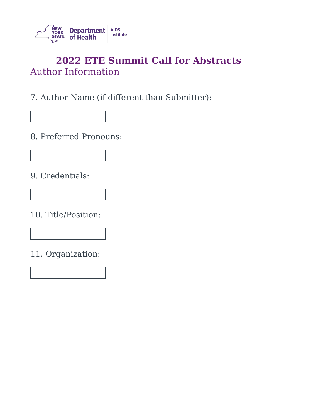

# **2022 ETE Summit Call for Abstracts** Author Information

7. Author Name (if different than Submitter):

8. Preferred Pronouns:

9. Credentials:

10. Title/Position:

11. Organization: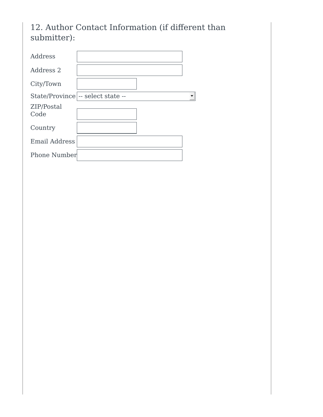12. Author Contact Information (if different than submitter):

| Address             |                                   |  |
|---------------------|-----------------------------------|--|
| Address 2           |                                   |  |
| City/Town           |                                   |  |
|                     | State/Province -- select state -- |  |
| ZIP/Postal<br>Code  |                                   |  |
| Country             |                                   |  |
| Email Address       |                                   |  |
| <b>Phone Number</b> |                                   |  |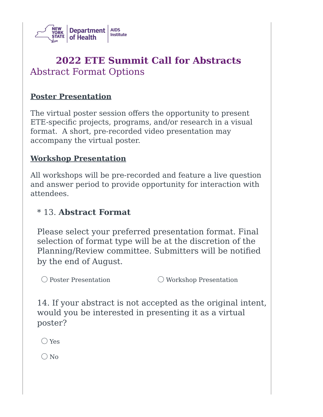

# **2022 ETE Summit Call for Abstracts** Abstract Format Options

#### **Poster Presentation**

The virtual poster session offers the opportunity to present ETE-specific projects, programs, and/or research in a visual format. A short, pre-recorded video presentation may accompany the virtual poster.

#### **Workshop Presentation**

All workshops will be pre-recorded and feature a live question and answer period to provide opportunity for interaction with attendees.

#### \* 13. **Abstract Format**

Please select your preferred presentation format. Final selection of format type will be at the discretion of the Planning/Review committee. Submitters will be notified by the end of August.

 $\bigcirc$  Poster Presentation  $\bigcirc$  Workshop Presentation

14. If your abstract is not accepted as the original intent, would you be interested in presenting it as a virtual poster?

◯ Yes

 $\bigcirc$  No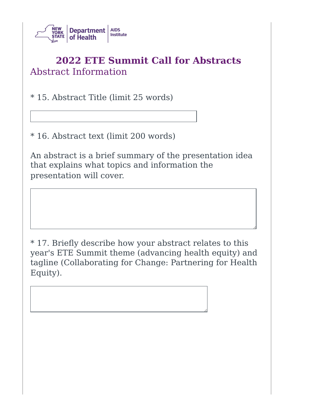

# **2022 ETE Summit Call for Abstracts** Abstract Information

\* 15. Abstract Title (limit 25 words)

\* 16. Abstract text (limit 200 words)

An abstract is a brief summary of the presentation idea that explains what topics and information the presentation will cover.

\* 17. Briefly describe how your abstract relates to this year's ETE Summit theme (advancing health equity) and tagline (Collaborating for Change: Partnering for Health Equity).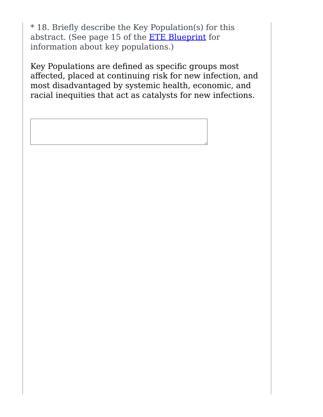\* 18. Briefly describe the Key Population(s) for this abstract. (See page 15 of the ETE [Blueprint](https://www.health.ny.gov/diseases/aids/ending_the_epidemic/docs/blueprint.pdf) for information about key populations.)

Key Populations are defined as specific groups most affected, placed at continuing risk for new infection, and most disadvantaged by systemic health, economic, and racial inequities that act as catalysts for new infections.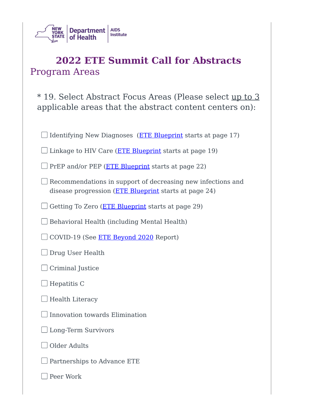

### **2022 ETE Summit Call for Abstracts** Program Areas

\* 19. Select Abstract Focus Areas (Please select up to 3 applicable areas that the abstract content centers on):

| Identifying New Diagnoses (ETE Blueprint starts at page 17)                                                          |  |  |
|----------------------------------------------------------------------------------------------------------------------|--|--|
| Linkage to HIV Care ( <b>ETE Blueprint</b> starts at page 19)                                                        |  |  |
| PrEP and/or PEP (ETE Blueprint starts at page 22)                                                                    |  |  |
| Recommendations in support of decreasing new infections and<br>disease progression (ETE Blueprint starts at page 24) |  |  |
| Getting To Zero ( <i>ETE Blueprint</i> starts at page 29)                                                            |  |  |
| Behavioral Health (including Mental Health)                                                                          |  |  |
| COVID-19 (See <b>ETE Beyond 2020</b> Report)                                                                         |  |  |
| Drug User Health                                                                                                     |  |  |
| Criminal Justice                                                                                                     |  |  |
| Hepatitis C                                                                                                          |  |  |
| <b>Health Literacy</b>                                                                                               |  |  |
| Innovation towards Elimination                                                                                       |  |  |
| Long-Term Survivors                                                                                                  |  |  |
| Older Adults                                                                                                         |  |  |
| Partnerships to Advance ETE                                                                                          |  |  |

Peer Work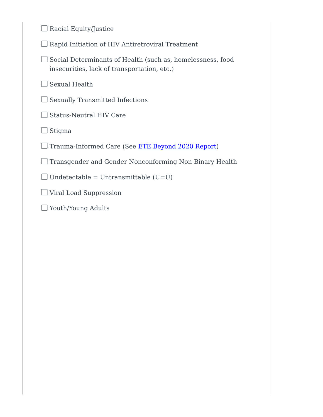| Racial Equity/Justice                                                                                     |
|-----------------------------------------------------------------------------------------------------------|
| Rapid Initiation of HIV Antiretroviral Treatment                                                          |
| Social Determinants of Health (such as, homelessness, food<br>insecurities, lack of transportation, etc.) |
| Sexual Health                                                                                             |
| <b>Sexually Transmitted Infections</b>                                                                    |
| <b>Status-Neutral HIV Care</b>                                                                            |
| Stigma                                                                                                    |
| Trauma-Informed Care (See <b>ETE Beyond 2020 Report</b> )                                                 |
| Transgender and Gender Nonconforming Non-Binary Health                                                    |
| Undetectable = Untransmittable $(U=U)$                                                                    |
| Viral Load Suppression                                                                                    |
| Youth/Young Adults                                                                                        |
|                                                                                                           |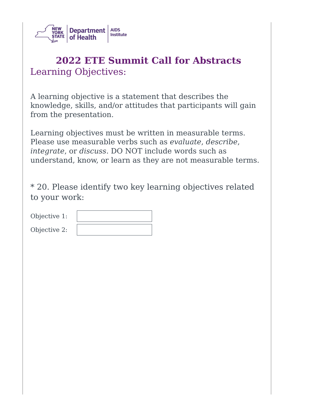

# **2022 ETE Summit Call for Abstracts** Learning Objectives:

A learning objective is a statement that describes the knowledge, skills, and/or attitudes that participants will gain from the presentation.

Learning objectives must be written in measurable terms. Please use measurable verbs such as *evaluate*, *describe*, *integrate*, or *discuss*. DO NOT include words such as understand, know, or learn as they are not measurable terms.

\* 20. Please identify two key learning objectives related to your work:

| Objective 1: |  |
|--------------|--|
| Objective 2: |  |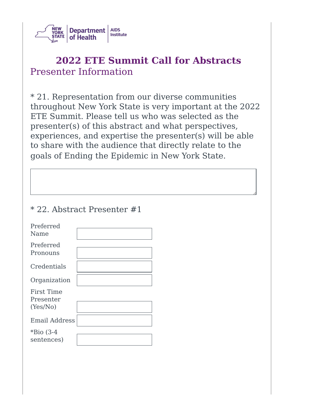

# **2022 ETE Summit Call for Abstracts** Presenter Information

\* 21. Representation from our diverse communities throughout New York State is very important at the 2022 ETE Summit. Please tell us who was selected as the presenter(s) of this abstract and what perspectives, experiences, and expertise the presenter(s) will be able to share with the audience that directly relate to the goals of Ending the Epidemic in New York State.

#### \* 22. Abstract Presenter #1

| Preferred<br>Name                          |  |
|--------------------------------------------|--|
| Preferred<br>Pronouns                      |  |
| Credentials                                |  |
| Organization                               |  |
| <b>First Time</b><br>Presenter<br>(Yes/No) |  |
| <b>Email Address</b>                       |  |
| *Bio $(3-4)$<br>sentences)                 |  |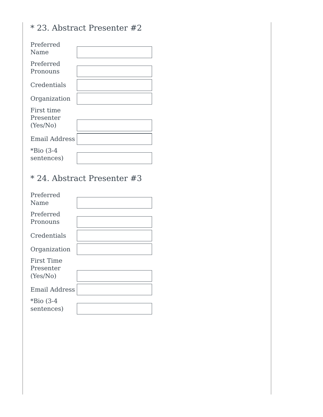### \* 23. Abstract Presenter #2

| Preferred<br>Name                   |  |
|-------------------------------------|--|
| Preferred<br>Pronouns               |  |
| Credentials                         |  |
| Organization                        |  |
| First time<br>Presenter<br>(Yes/No) |  |
| <b>Email Address</b>                |  |
| $*$ Bio (3-4<br>sentences)          |  |

### \* 24. Abstract Presenter #3

| Preferred<br>Name                          |  |
|--------------------------------------------|--|
| Preferred<br>Pronouns                      |  |
| Credentials                                |  |
| Organization                               |  |
| <b>First Time</b><br>Presenter<br>(Yes/No) |  |
| <b>Email Address</b>                       |  |
| *Bio $(3-4)$<br>sentences)                 |  |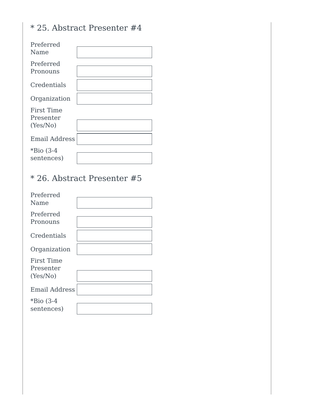### \* 25. Abstract Presenter #4

| Preferred<br>Name                          |  |
|--------------------------------------------|--|
| Preferred<br>Pronouns                      |  |
| Credentials                                |  |
| Organization                               |  |
| <b>First Time</b><br>Presenter<br>(Yes/No) |  |
| <b>Email Address</b>                       |  |
| $*$ Bio (3-4<br>sentences)                 |  |

### \* 26. Abstract Presenter #5

| Preferred<br>Name                          |  |
|--------------------------------------------|--|
| Preferred<br>Pronouns                      |  |
| Credentials                                |  |
| Organization                               |  |
| <b>First Time</b><br>Presenter<br>(Yes/No) |  |
| <b>Email Address</b>                       |  |
| *Bio $(3-4)$<br>sentences)                 |  |